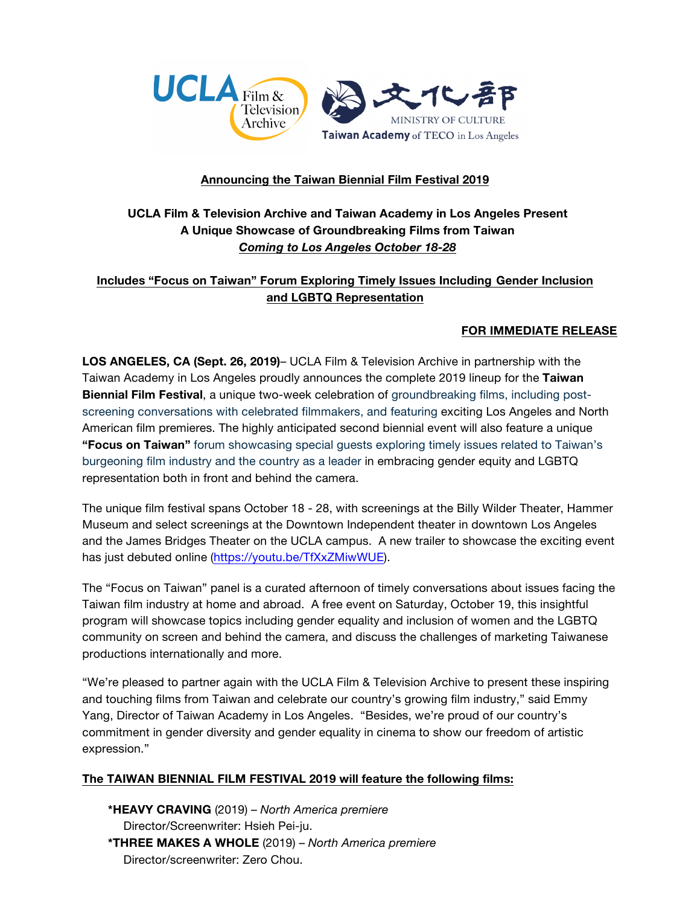

## **Announcing the Taiwan Biennial Film Festival 2019**

# **UCLA Film & Television Archive and Taiwan Academy in Los Angeles Present A Unique Showcase of Groundbreaking Films from Taiwan** *Coming to Los Angeles October 18-28*

# **Includes "Focus on Taiwan" Forum Exploring Timely Issues Including Gender Inclusion and LGBTQ Representation**

## **FOR IMMEDIATE RELEASE**

**LOS ANGELES, CA (Sept. 26, 2019)**– UCLA Film & Television Archive in partnership with the Taiwan Academy in Los Angeles proudly announces the complete 2019 lineup for the **Taiwan Biennial Film Festival**, a unique two-week celebration of groundbreaking films, including postscreening conversations with celebrated filmmakers, and featuring exciting Los Angeles and North American film premieres. The highly anticipated second biennial event will also feature a unique **"Focus on Taiwan"** forum showcasing special guests exploring timely issues related to Taiwan's burgeoning film industry and the country as a leader in embracing gender equity and LGBTQ representation both in front and behind the camera.

The unique film festival spans October 18 - 28, with screenings at the Billy Wilder Theater, Hammer Museum and select screenings at the Downtown Independent theater in downtown Los Angeles and the James Bridges Theater on the UCLA campus. A new trailer to showcase the exciting event has just debuted online [\(https://youtu.be/TfXxZMiwWUE\)](https://youtu.be/TfXxZMiwWUE).

The "Focus on Taiwan" panel is a curated afternoon of timely conversations about issues facing the Taiwan film industry at home and abroad. A free event on Saturday, October 19, this insightful program will showcase topics including gender equality and inclusion of women and the LGBTQ community on screen and behind the camera, and discuss the challenges of marketing Taiwanese productions internationally and more.

"We're pleased to partner again with the UCLA Film & Television Archive to present these inspiring and touching films from Taiwan and celebrate our country's growing film industry," said Emmy Yang, Director of Taiwan Academy in Los Angeles. "Besides, we're proud of our country's commitment in gender diversity and gender equality in cinema to show our freedom of artistic expression."

## **The TAIWAN BIENNIAL FILM FESTIVAL 2019 will feature the following films:**

**\*HEAVY CRAVING** (2019) – *North America premiere* Director/Screenwriter: Hsieh Pei-ju. **\*THREE MAKES A WHOLE** (2019) – *North America premiere* Director/screenwriter: Zero Chou.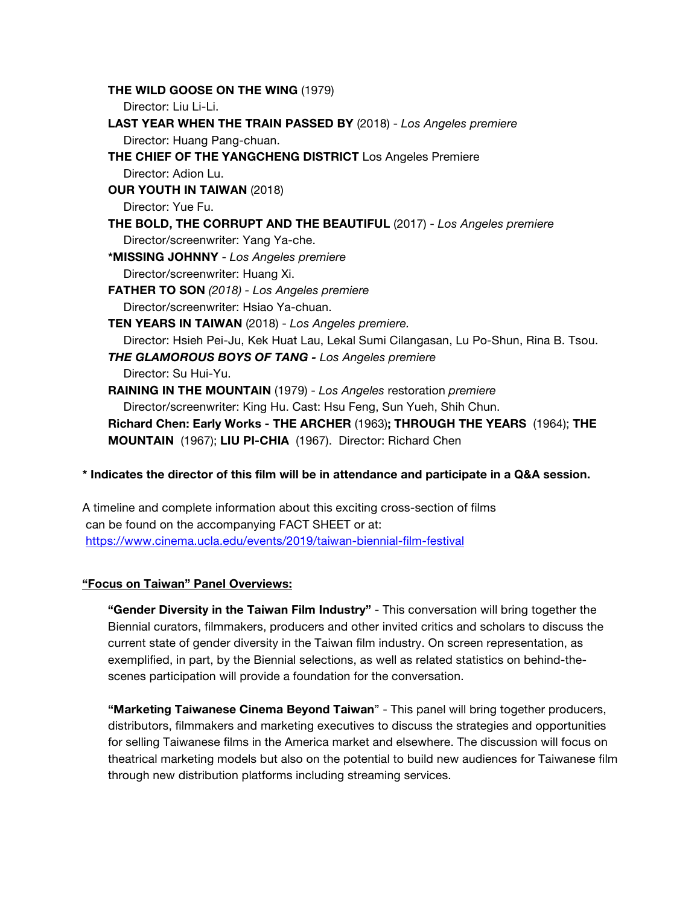**THE WILD GOOSE ON THE WING** (1979) Director: Liu Li-Li. **LAST YEAR WHEN THE TRAIN PASSED BY** (2018) - *Los Angeles premiere* Director: Huang Pang-chuan. **THE CHIEF OF THE YANGCHENG DISTRICT** Los Angeles Premiere Director: Adion Lu. **OUR YOUTH IN TAIWAN** (2018) Director: Yue Fu. **THE BOLD, THE CORRUPT AND THE BEAUTIFUL** (2017) - *Los Angeles premiere* Director/screenwriter: Yang Ya-che. **\*MISSING JOHNNY** - *Los Angeles premiere* Director/screenwriter: Huang Xi. **FATHER TO SON** *(2018) - Los Angeles premiere* Director/screenwriter: Hsiao Ya-chuan. **TEN YEARS IN TAIWAN** (2018) - *Los Angeles premiere.* Director: Hsieh Pei-Ju, Kek Huat Lau, Lekal Sumi Cilangasan, Lu Po-Shun, Rina B. Tsou. *THE GLAMOROUS BOYS OF TANG - Los Angeles premiere* Director: Su Hui-Yu. **RAINING IN THE MOUNTAIN** (1979) - *Los Angeles* restoration *premiere* Director/screenwriter: King Hu. Cast: Hsu Feng, Sun Yueh, Shih Chun. **Richard Chen: Early Works - THE ARCHER** (1963)**; THROUGH THE YEARS** (1964); **THE MOUNTAIN** (1967); **LIU PI-CHIA** (1967). Director: Richard Chen

## **\* Indicates the director of this film will be in attendance and participate in a Q&A session.**

A timeline and complete information about this exciting cross-section of films can be found on the accompanying FACT SHEET or at: <https://www.cinema.ucla.edu/events/2019/taiwan-biennial-film-festival>

## **"Focus on Taiwan" Panel Overviews:**

**"Gender Diversity in the Taiwan Film Industry"** - This conversation will bring together the Biennial curators, filmmakers, producers and other invited critics and scholars to discuss the current state of gender diversity in the Taiwan film industry. On screen representation, as exemplified, in part, by the Biennial selections, as well as related statistics on behind-thescenes participation will provide a foundation for the conversation.

**"Marketing Taiwanese Cinema Beyond Taiwan**" - This panel will bring together producers, distributors, filmmakers and marketing executives to discuss the strategies and opportunities for selling Taiwanese films in the America market and elsewhere. The discussion will focus on theatrical marketing models but also on the potential to build new audiences for Taiwanese film through new distribution platforms including streaming services.